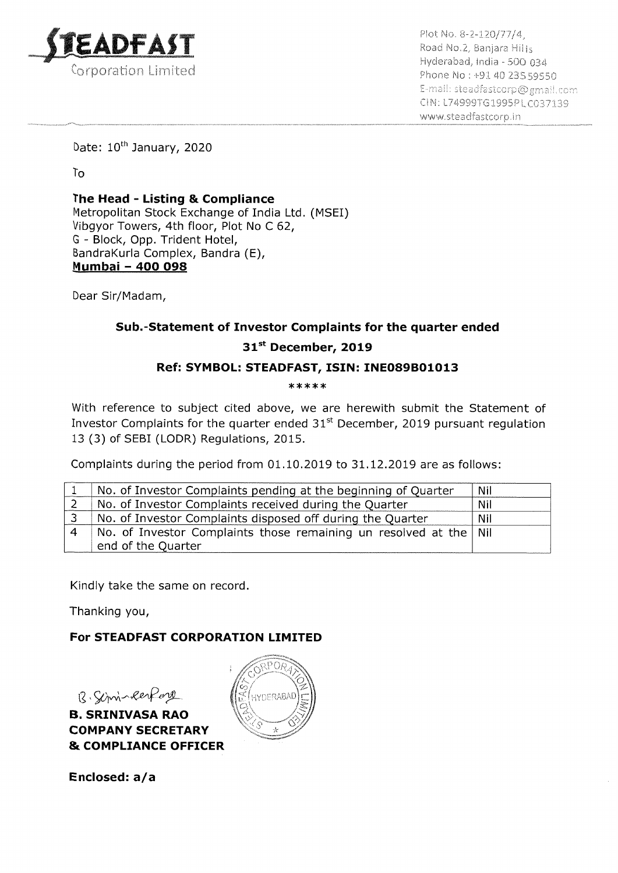

Plot No. 8-2-120/77/4,<br>Road No.2, Banjara Hills<br>Hyderabad, India - 500 034 Phone No: +91 40 235 59550 E-mail: steadfastcorp@gmail.com CIN: L74999TG1995PLC037139 www.steachfastcorp.in

Date: 10<sup>th</sup> January, 2020

To

Paget

The Head - Listing & Compliance Metropolitan Stock Exchange of India Ltd. (MSEI) Vibgyor Towers, 4th floor, Plot No C 62, G - Block, Opp. Trident Hotel, BandraKurla Complex, Bandra (E), Mumbai - 400 098 CADFAST<br>
Corporation Limited<br>
Corporation Limited<br>
The Head - Listing & Compliance<br>
Metropolitan Stock Exchange of India Ltd.<br>
Vibgyor Towers, 4th floor, Plot No C 62,<br>
G - Block, Opp. Trident Hotel,<br>
BandraKurla Complex, **CAUTAY I**<br>
Corporation Limited<br>
Date: 10<sup>th</sup> January, 2020<br>
To<br> **The Head - Listing & Compliance**<br>
Metropolitan Stock Exchange of India Ltd.<br>
Using the Metropolity Bandra (E),<br>
Sumbai - 400 098<br>
Dear Sir/Madam,<br>
Sub.-Sta EADFAST<br>
Serporation Limited<br>
Date: 10<sup>th</sup> January, 2020<br>
To<br>
The Head - Listing & Compliance<br>
Metropolitan Stock Exchange of India Ltd. (Vibgyor Towers, 4th floor, Plot No C 62,<br>
G - Block, Opp. Trident Hotel,<br>
BandraKurl CADFAST<br>
Corporation Limited<br>
Corporation Limited<br>
The Head - Listing & Compliance<br>
Metropolitan Stock Exchange of India Ltd.<br>
Vibgyor Towers, 4th floor, Plot No C 62,<br>
Sc - Block, Opp. Trident Hotel,<br>
BandraKurla Complex,

Dear Sir/Madam,

# Sub.-Statement of Investor Complaints for the quarter ended 31st December, 2019

# Ref: SYMBOL: STEADFAST, ISIN: INEO89B01013

 $*****$ 

With reference to subject cited above, we are herewith submit the Statement of Investor Complaints for the quarter ended  $31<sup>st</sup>$  December, 2019 pursuant regulation 13 (3) of SEBI (LODR) Regulations, 2015.

Complaints during the period from 01.10.2019 to 31.12.2019 are as follows:

| No. of Investor Complaints pending at the beginning of Quarter            | Nil |
|---------------------------------------------------------------------------|-----|
| No. of Investor Complaints received during the Quarter                    | Nil |
| No. of Investor Complaints disposed off during the Quarter                | Nil |
| No. of Investor Complaints those remaining un resolved at the $\vert$ Nil |     |
| end of the Quarter                                                        |     |

Kindly take the same on record.

Thanking you,

# For STEADFAST CORPORATION LIMITED

B. Simin Respons

B. SRINIVASA RAO COMPANY SECRETARY & COMPLIANCE OFFICER



Enclosed: a/a